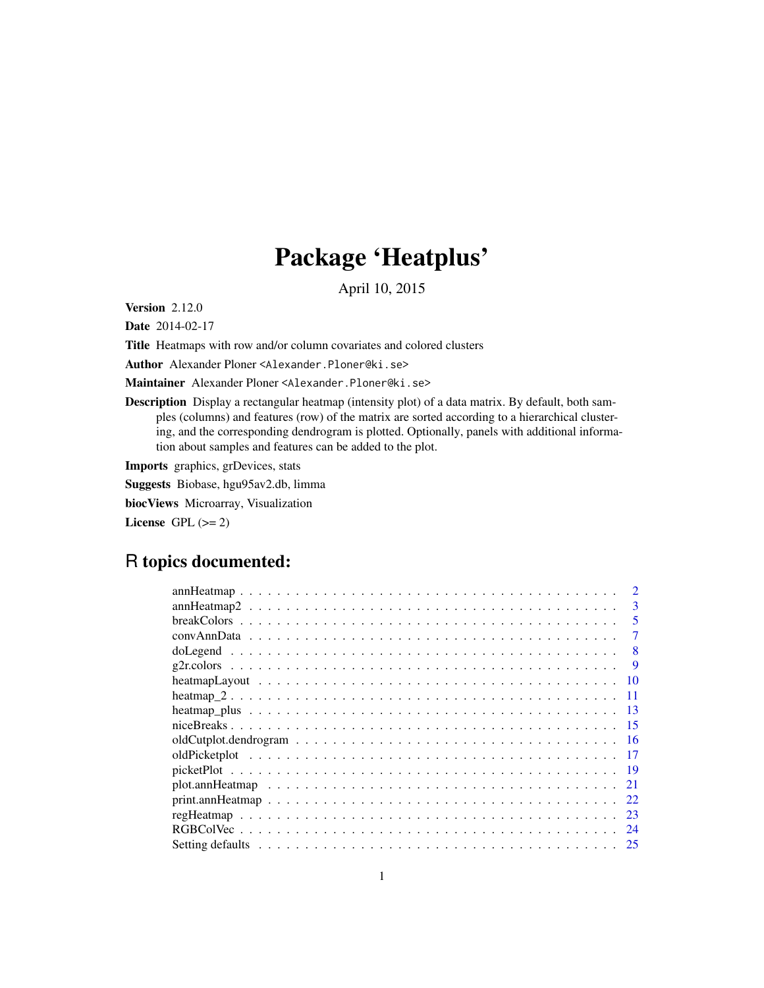# Package 'Heatplus'

April 10, 2015

<span id="page-0-0"></span>Version 2.12.0

Date 2014-02-17

Title Heatmaps with row and/or column covariates and colored clusters

Author Alexander Ploner <Alexander.Ploner@ki.se>

Maintainer Alexander Ploner <Alexander.Ploner@ki.se>

Description Display a rectangular heatmap (intensity plot) of a data matrix. By default, both samples (columns) and features (row) of the matrix are sorted according to a hierarchical clustering, and the corresponding dendrogram is plotted. Optionally, panels with additional information about samples and features can be added to the plot.

Imports graphics, grDevices, stats

Suggests Biobase, hgu95av2.db, limma

biocViews Microarray, Visualization

License GPL  $(>= 2)$ 

# R topics documented:

| 3    |
|------|
| 5    |
| 7    |
| 8    |
| 9    |
| -10  |
| -11  |
| -13  |
| 15   |
| -16  |
|      |
| - 19 |
| 21   |
| 22   |
| 23   |
| 24   |
| 25   |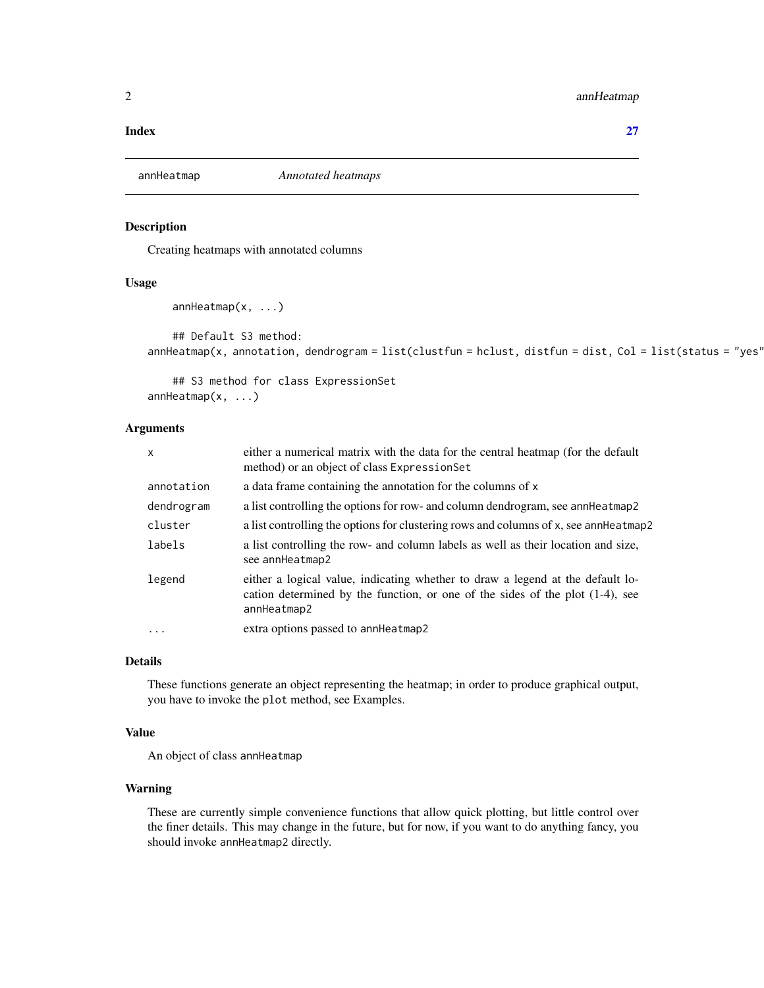# <span id="page-1-0"></span>2 ann Heatmap ann Heatmap ann Heatmap ann Heatmap ann Heatmap ann Heatmap ann Heatmap ann Heatmap ann Heatmap ann Heatmap ann Heatmap ann Heatmap ann Heatmap ann Heatmap ann Heatmap ann Heatmap ann Heatmap ann Heatmap ann

#### **Index** [27](#page-26-0)

<span id="page-1-1"></span>annHeatmap *Annotated heatmaps*

# Description

Creating heatmaps with annotated columns

#### Usage

```
annHeatmap(x, ...)
```
## Default S3 method:  $annHeatmap(x, annotation, dendrogram = list(clustfun = hclust, distfun = dist, Col = list(status = "yes")$ 

## S3 method for class ExpressionSet annHeatmap(x, ...)

#### Arguments

| $\mathsf{x}$ | either a numerical matrix with the data for the central heatmap (for the default<br>method) or an object of class Expression Set                                                  |
|--------------|-----------------------------------------------------------------------------------------------------------------------------------------------------------------------------------|
| annotation   | a data frame containing the annotation for the columns of x                                                                                                                       |
| dendrogram   | a list controlling the options for row- and column dendrogram, see annet atmap 2                                                                                                  |
| cluster      | a list controlling the options for clustering rows and columns of x, see annHeatmap2                                                                                              |
| labels       | a list controlling the row- and column labels as well as their location and size,<br>see annHeatmap2                                                                              |
| legend       | either a logical value, indicating whether to draw a legend at the default lo-<br>cation determined by the function, or one of the sides of the plot $(1-4)$ , see<br>annHeatmap2 |
| $\ddots$     | extra options passed to annHeatmap2                                                                                                                                               |
|              |                                                                                                                                                                                   |

#### Details

These functions generate an object representing the heatmap; in order to produce graphical output, you have to invoke the plot method, see Examples.

#### Value

An object of class annHeatmap

# Warning

These are currently simple convenience functions that allow quick plotting, but little control over the finer details. This may change in the future, but for now, if you want to do anything fancy, you should invoke annHeatmap2 directly.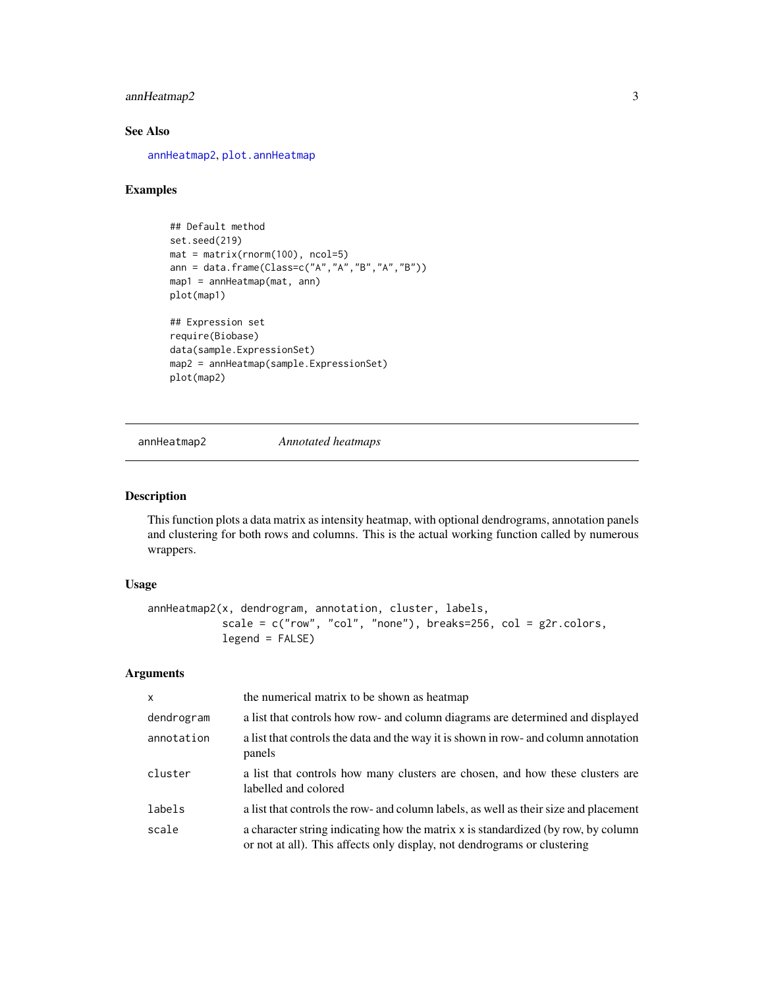# <span id="page-2-0"></span>annHeatmap2 3

# See Also

[annHeatmap2](#page-2-1), [plot.annHeatmap](#page-20-1)

## Examples

```
## Default method
set.seed(219)
mat = matrix(rnorm(100), ncol=5)ann = data.frame(Class=c("A","A","B","A","B"))
map1 = annHeatmap(mat, ann)
plot(map1)
## Expression set
require(Biobase)
data(sample.ExpressionSet)
map2 = annHeatmap(sample.ExpressionSet)
plot(map2)
```
<span id="page-2-1"></span>annHeatmap2 *Annotated heatmaps*

#### Description

This function plots a data matrix as intensity heatmap, with optional dendrograms, annotation panels and clustering for both rows and columns. This is the actual working function called by numerous wrappers.

# Usage

```
annHeatmap2(x, dendrogram, annotation, cluster, labels,
            scale = c("row", "col", "none"), breaks=256, col = g2r.colors,
            legend = FALSE)
```
# Arguments

| $\mathsf{x}$ | the numerical matrix to be shown as heatmap                                                                                                                   |
|--------------|---------------------------------------------------------------------------------------------------------------------------------------------------------------|
| dendrogram   | a list that controls how row- and column diagrams are determined and displayed                                                                                |
| annotation   | a list that controls the data and the way it is shown in row- and column annotation<br>panels                                                                 |
| cluster      | a list that controls how many clusters are chosen, and how these clusters are<br>labelled and colored                                                         |
| labels       | a list that controls the row- and column labels, as well as their size and placement                                                                          |
| scale        | a character string indicating how the matrix x is standardized (by row, by column<br>or not at all). This affects only display, not dendrograms or clustering |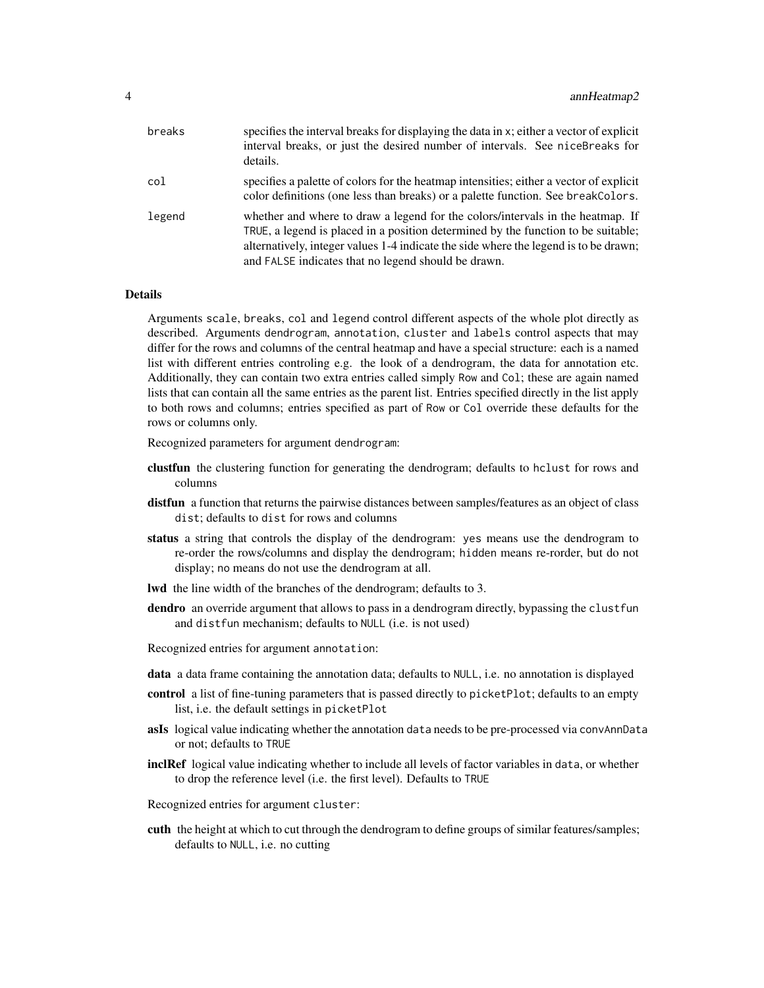| breaks | specifies the interval breaks for displaying the data in x; either a vector of explicit<br>interval breaks, or just the desired number of intervals. See niceBreaks for<br>details.                                                                                                                                |
|--------|--------------------------------------------------------------------------------------------------------------------------------------------------------------------------------------------------------------------------------------------------------------------------------------------------------------------|
| col    | specifies a palette of colors for the heatmap intensities; either a vector of explicit<br>color definitions (one less than breaks) or a palette function. See break Colors.                                                                                                                                        |
| legend | whether and where to draw a legend for the colors/intervals in the heatmap. If<br>TRUE, a legend is placed in a position determined by the function to be suitable;<br>alternatively, integer values 1-4 indicate the side where the legend is to be drawn;<br>and FALSE indicates that no legend should be drawn. |

# **Details**

Arguments scale, breaks, col and legend control different aspects of the whole plot directly as described. Arguments dendrogram, annotation, cluster and labels control aspects that may differ for the rows and columns of the central heatmap and have a special structure: each is a named list with different entries controling e.g. the look of a dendrogram, the data for annotation etc. Additionally, they can contain two extra entries called simply Row and Col; these are again named lists that can contain all the same entries as the parent list. Entries specified directly in the list apply to both rows and columns; entries specified as part of Row or Col override these defaults for the rows or columns only.

Recognized parameters for argument dendrogram:

- clustfun the clustering function for generating the dendrogram; defaults to hclust for rows and columns
- distfun a function that returns the pairwise distances between samples/features as an object of class dist; defaults to dist for rows and columns
- status a string that controls the display of the dendrogram: yes means use the dendrogram to re-order the rows/columns and display the dendrogram; hidden means re-rorder, but do not display; no means do not use the dendrogram at all.
- lwd the line width of the branches of the dendrogram; defaults to 3.
- dendro an override argument that allows to pass in a dendrogram directly, bypassing the clustfun and distfun mechanism; defaults to NULL (i.e. is not used)
- Recognized entries for argument annotation:
- data a data frame containing the annotation data; defaults to NULL, i.e. no annotation is displayed
- control a list of fine-tuning parameters that is passed directly to picket Plot; defaults to an empty list, i.e. the default settings in picketPlot
- asIs logical value indicating whether the annotation data needs to be pre-processed via convAnnData or not; defaults to TRUE
- **inclRef** logical value indicating whether to include all levels of factor variables in data, or whether to drop the reference level (i.e. the first level). Defaults to TRUE
- Recognized entries for argument cluster:
- cuth the height at which to cut through the dendrogram to define groups of similar features/samples; defaults to NULL, i.e. no cutting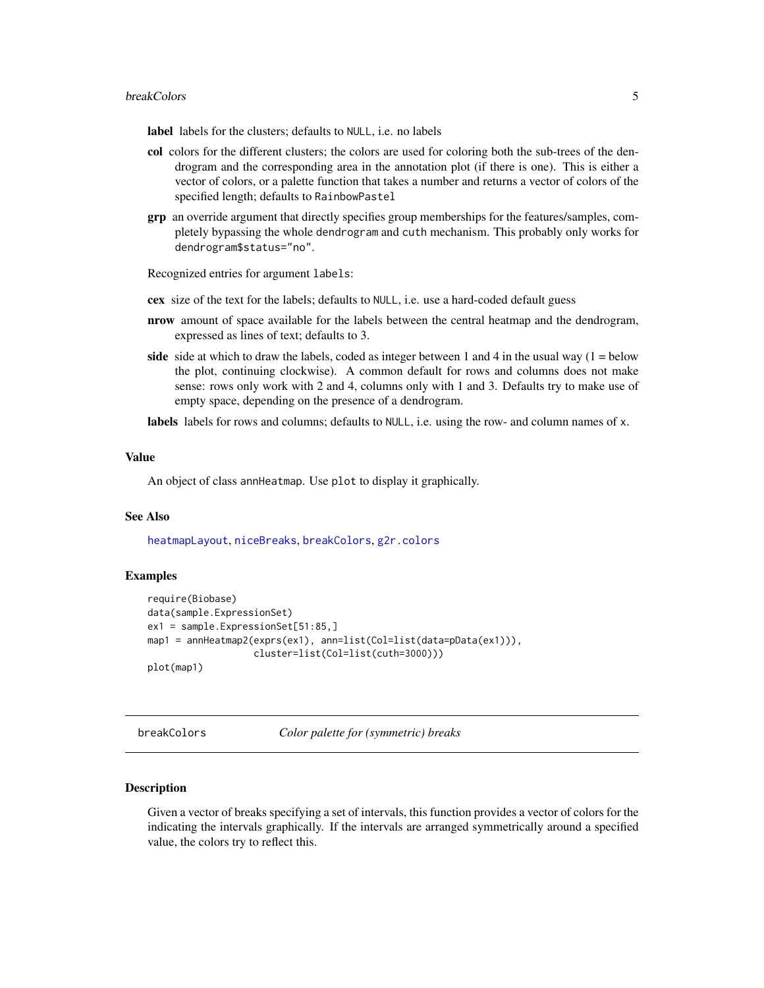#### <span id="page-4-0"></span>breakColors 5

label labels for the clusters; defaults to NULL, i.e. no labels

- col colors for the different clusters; the colors are used for coloring both the sub-trees of the dendrogram and the corresponding area in the annotation plot (if there is one). This is either a vector of colors, or a palette function that takes a number and returns a vector of colors of the specified length; defaults to RainbowPastel
- grp an override argument that directly specifies group memberships for the features/samples, completely bypassing the whole dendrogram and cuth mechanism. This probably only works for dendrogram\$status="no".

Recognized entries for argument labels:

- cex size of the text for the labels; defaults to NULL, i.e. use a hard-coded default guess
- nrow amount of space available for the labels between the central heatmap and the dendrogram, expressed as lines of text; defaults to 3.
- side side at which to draw the labels, coded as integer between 1 and 4 in the usual way  $(1 =$  below the plot, continuing clockwise). A common default for rows and columns does not make sense: rows only work with 2 and 4, columns only with 1 and 3. Defaults try to make use of empty space, depending on the presence of a dendrogram.

labels labels for rows and columns; defaults to NULL, i.e. using the row- and column names of x.

#### Value

An object of class annHeatmap. Use plot to display it graphically.

#### See Also

[heatmapLayout](#page-9-1), [niceBreaks](#page-14-1), [breakColors](#page-4-1), [g2r.colors](#page-8-1)

#### Examples

```
require(Biobase)
data(sample.ExpressionSet)
ex1 = sample.ExpressionSet[51:85,]
map1 = annHeatmap2(exprs(ex1), ann=list(Col=list(data=pData(ex1))),
                   cluster=list(Col=list(cuth=3000)))
plot(map1)
```
<span id="page-4-1"></span>breakColors *Color palette for (symmetric) breaks*

#### Description

Given a vector of breaks specifying a set of intervals, this function provides a vector of colors for the indicating the intervals graphically. If the intervals are arranged symmetrically around a specified value, the colors try to reflect this.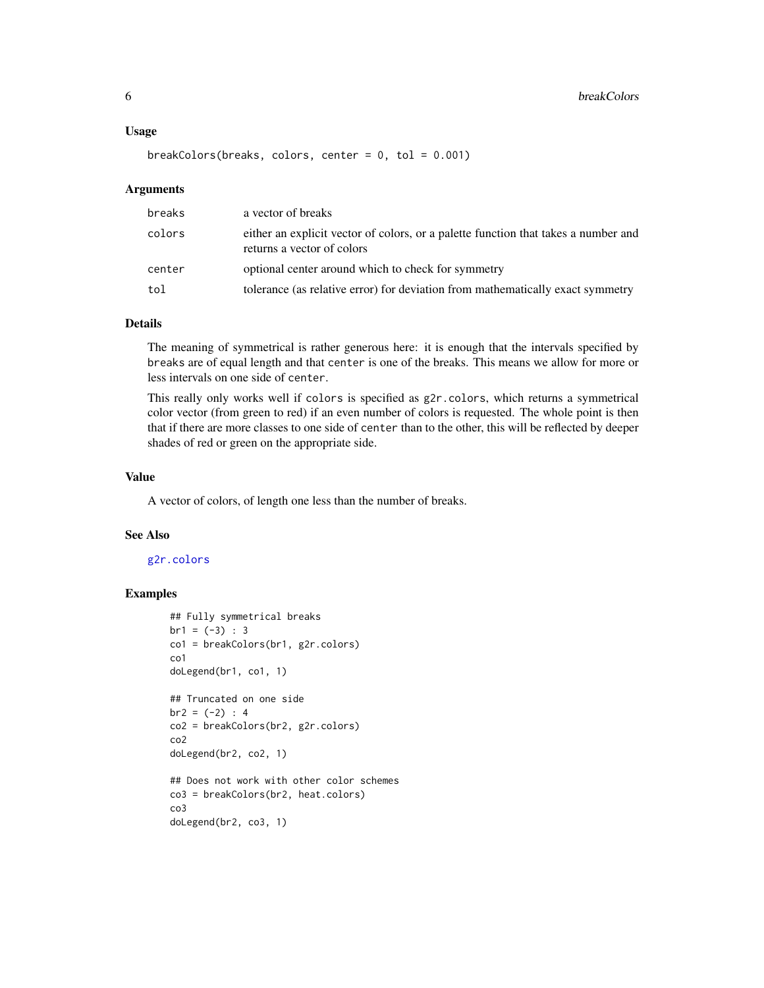$breakColors(breaks, colors, center = 0, tol = 0.001)$ 

#### Arguments

| breaks | a vector of breaks                                                                                               |
|--------|------------------------------------------------------------------------------------------------------------------|
| colors | either an explicit vector of colors, or a palette function that takes a number and<br>returns a vector of colors |
| center | optional center around which to check for symmetry                                                               |
| tol    | tolerance (as relative error) for deviation from mathematically exact symmetry                                   |

# Details

The meaning of symmetrical is rather generous here: it is enough that the intervals specified by breaks are of equal length and that center is one of the breaks. This means we allow for more or less intervals on one side of center.

This really only works well if colors is specified as g2r.colors, which returns a symmetrical color vector (from green to red) if an even number of colors is requested. The whole point is then that if there are more classes to one side of center than to the other, this will be reflected by deeper shades of red or green on the appropriate side.

#### Value

A vector of colors, of length one less than the number of breaks.

#### See Also

#### [g2r.colors](#page-8-1)

```
## Fully symmetrical breaks
br1 = (-3) : 3co1 = breakColors(br1, g2r.colors)
co1
doLegend(br1, co1, 1)
## Truncated on one side
br2 = (-2) : 4co2 = breakColors(br2, g2r.colors)
co2
doLegend(br2, co2, 1)
## Does not work with other color schemes
co3 = breakColors(br2, heat.colors)
co3
doLegend(br2, co3, 1)
```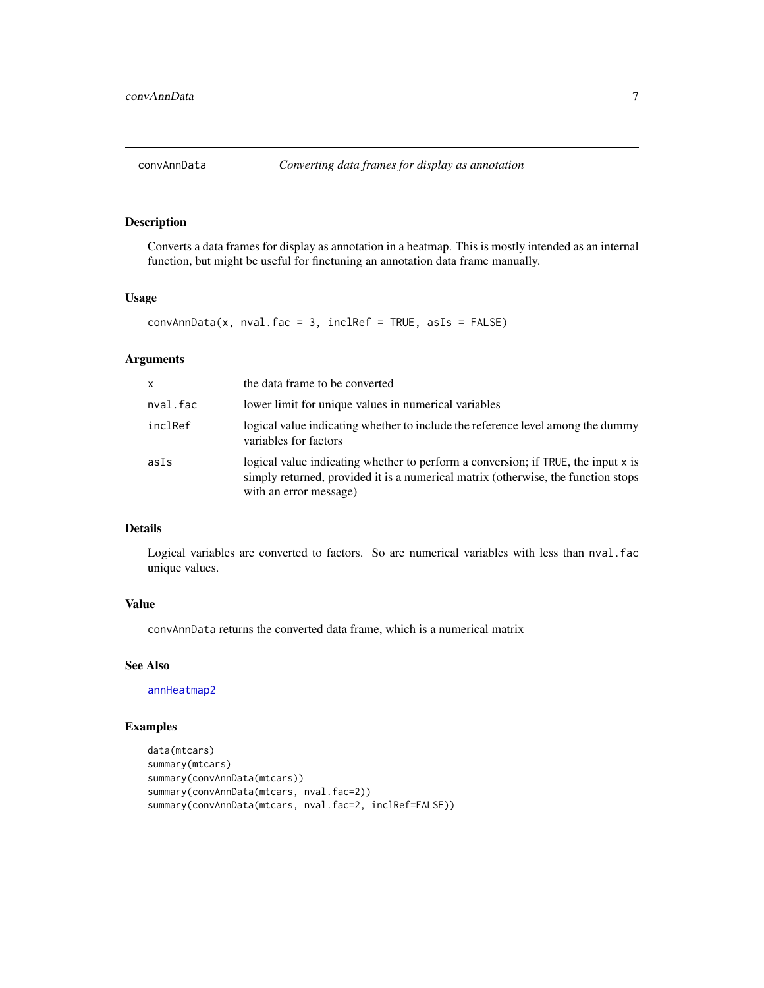<span id="page-6-1"></span><span id="page-6-0"></span>

Converts a data frames for display as annotation in a heatmap. This is mostly intended as an internal function, but might be useful for finetuning an annotation data frame manually.

### Usage

```
convAnnData(x, nval.fac = 3, inclRef = TRUE, asIs = FALSE)
```
### Arguments

| X.       | the data frame to be converted                                                                                                                                                                   |
|----------|--------------------------------------------------------------------------------------------------------------------------------------------------------------------------------------------------|
| nval.fac | lower limit for unique values in numerical variables                                                                                                                                             |
| inclRef  | logical value indicating whether to include the reference level among the dummy<br>variables for factors                                                                                         |
| asIs     | logical value indicating whether to perform a conversion; if TRUE, the input x is<br>simply returned, provided it is a numerical matrix (otherwise, the function stops<br>with an error message) |

# Details

Logical variables are converted to factors. So are numerical variables with less than nval.fac unique values.

# Value

convAnnData returns the converted data frame, which is a numerical matrix

#### See Also

[annHeatmap2](#page-2-1)

```
data(mtcars)
summary(mtcars)
summary(convAnnData(mtcars))
summary(convAnnData(mtcars, nval.fac=2))
summary(convAnnData(mtcars, nval.fac=2, inclRef=FALSE))
```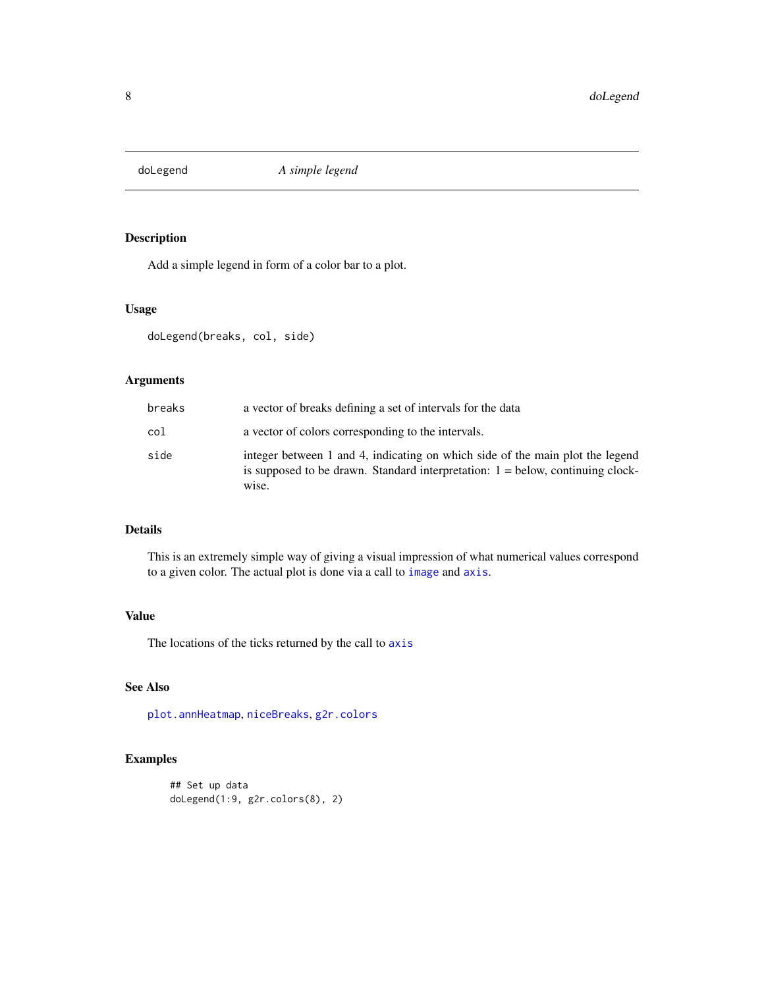<span id="page-7-0"></span>

Add a simple legend in form of a color bar to a plot.

#### Usage

doLegend(breaks, col, side)

# Arguments

| breaks | a vector of breaks defining a set of intervals for the data                                                                                                                |
|--------|----------------------------------------------------------------------------------------------------------------------------------------------------------------------------|
| col    | a vector of colors corresponding to the intervals.                                                                                                                         |
| side   | integer between 1 and 4, indicating on which side of the main plot the legend<br>is supposed to be drawn. Standard interpretation: $1 =$ below, continuing clock-<br>wise. |

# Details

This is an extremely simple way of giving a visual impression of what numerical values correspond to a given color. The actual plot is done via a call to [image](#page-0-0) and [axis](#page-0-0).

# Value

The locations of the ticks returned by the call to [axis](#page-0-0)

# See Also

[plot.annHeatmap](#page-20-1), [niceBreaks](#page-14-1), [g2r.colors](#page-8-1)

```
## Set up data
doLegend(1:9, g2r.colors(8), 2)
```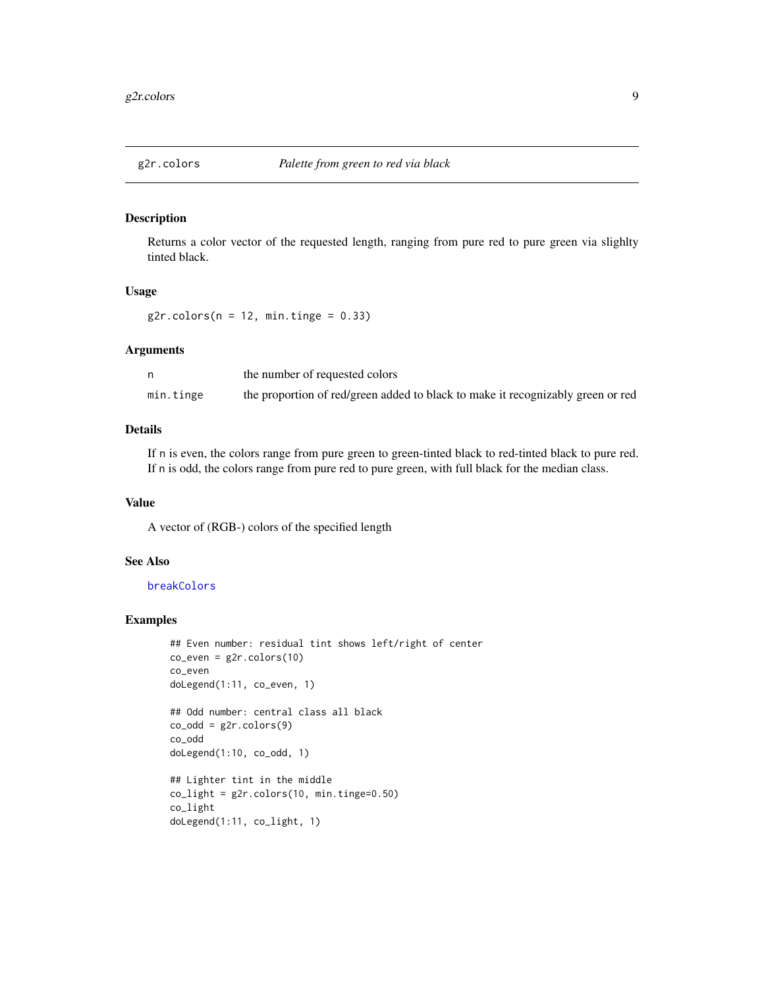<span id="page-8-1"></span><span id="page-8-0"></span>

Returns a color vector of the requested length, ranging from pure red to pure green via slighlty tinted black.

# Usage

 $g2r.colors(n = 12, min.time = 0.33)$ 

### Arguments

|           | the number of requested colors                                                  |
|-----------|---------------------------------------------------------------------------------|
| min.tinge | the proportion of red/green added to black to make it recognizably green or red |

#### Details

If n is even, the colors range from pure green to green-tinted black to red-tinted black to pure red. If n is odd, the colors range from pure red to pure green, with full black for the median class.

#### Value

A vector of (RGB-) colors of the specified length

# See Also

[breakColors](#page-4-1)

```
## Even number: residual tint shows left/right of center
co_even = g2r.colors(10)
co_even
doLegend(1:11, co_even, 1)
## Odd number: central class all black
co\_odd = g2r.colors(9)co_odd
doLegend(1:10, co_odd, 1)
## Lighter tint in the middle
co_{light} = g2r.colors(10, min.time=0.50)co_light
doLegend(1:11, co_light, 1)
```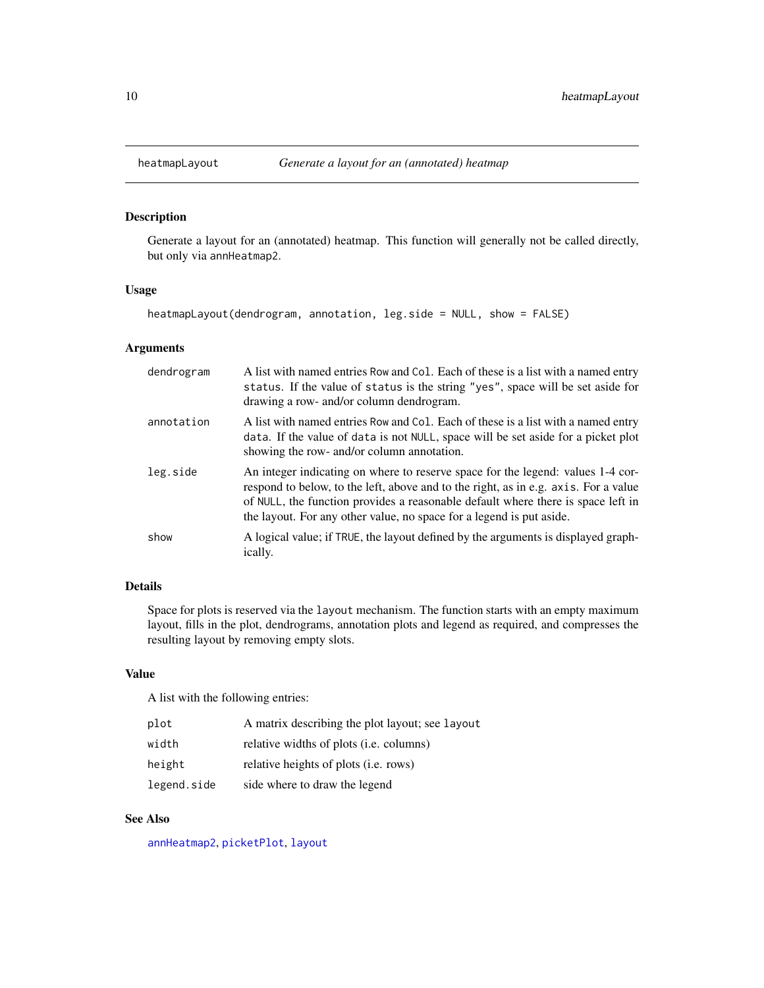<span id="page-9-1"></span><span id="page-9-0"></span>

Generate a layout for an (annotated) heatmap. This function will generally not be called directly, but only via annHeatmap2.

# Usage

heatmapLayout(dendrogram, annotation, leg.side = NULL, show = FALSE)

# Arguments

| dendrogram | A list with named entries Row and Col. Each of these is a list with a named entry<br>status. If the value of status is the string "yes", space will be set aside for<br>drawing a row- and/or column dendrogram.                                                                                                                   |
|------------|------------------------------------------------------------------------------------------------------------------------------------------------------------------------------------------------------------------------------------------------------------------------------------------------------------------------------------|
| annotation | A list with named entries Row and Col. Each of these is a list with a named entry<br>data. If the value of data is not NULL, space will be set aside for a picket plot<br>showing the row- and/or column annotation.                                                                                                               |
| leg.side   | An integer indicating on where to reserve space for the legend: values 1-4 cor-<br>respond to below, to the left, above and to the right, as in e.g. axis. For a value<br>of NULL, the function provides a reasonable default where there is space left in<br>the layout. For any other value, no space for a legend is put aside. |
| show       | A logical value; if TRUE, the layout defined by the arguments is displayed graph-<br><i>ically.</i>                                                                                                                                                                                                                                |

#### Details

Space for plots is reserved via the layout mechanism. The function starts with an empty maximum layout, fills in the plot, dendrograms, annotation plots and legend as required, and compresses the resulting layout by removing empty slots.

#### Value

A list with the following entries:

| plot        | A matrix describing the plot layout; see layout |
|-------------|-------------------------------------------------|
| width       | relative widths of plots ( <i>i.e.</i> columns) |
| height      | relative heights of plots ( <i>i.e.</i> rows)   |
| legend.side | side where to draw the legend                   |

# See Also

[annHeatmap2](#page-2-1), [picketPlot](#page-18-1), [layout](#page-0-0)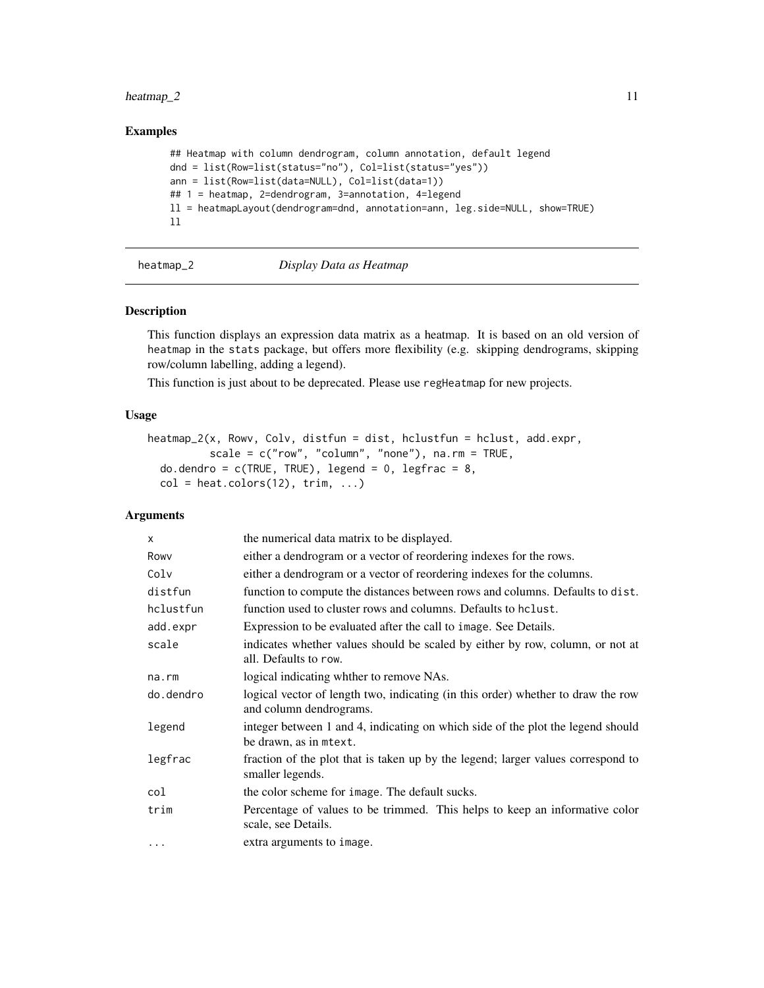#### <span id="page-10-0"></span> $heatmap_2$  11

# Examples

```
## Heatmap with column dendrogram, column annotation, default legend
dnd = list(Row=list(status="no"), Col=list(status="yes"))
ann = list(Row=list(data=NULL), Col=list(data=1))
## 1 = heatmap, 2=dendrogram, 3=annotation, 4=legend
ll = heatmapLayout(dendrogram=dnd, annotation=ann, leg.side=NULL, show=TRUE)
ll
```
# heatmap\_2 *Display Data as Heatmap*

#### Description

This function displays an expression data matrix as a heatmap. It is based on an old version of heatmap in the stats package, but offers more flexibility (e.g. skipping dendrograms, skipping row/column labelling, adding a legend).

This function is just about to be deprecated. Please use regHeatmap for new projects.

#### Usage

```
heatmap_2(x, Rowv, Colv, distfun = dist, hclustfun = hclust, add.expr,
          scale = c("row", "column", "none"), na.rm = TRUE,do.dendro = c(TRUE, TRUE), legend = 0, legfrac = 8,col = heatscolors(12), trim, ...
```
# Arguments

| $\mathsf{x}$ | the numerical data matrix to be displayed.                                                                  |
|--------------|-------------------------------------------------------------------------------------------------------------|
| Rowy         | either a dendrogram or a vector of reordering indexes for the rows.                                         |
| Colv         | either a dendrogram or a vector of reordering indexes for the columns.                                      |
| distfun      | function to compute the distances between rows and columns. Defaults to dist.                               |
| hclustfun    | function used to cluster rows and columns. Defaults to helast.                                              |
| add.expr     | Expression to be evaluated after the call to image. See Details.                                            |
| scale        | indicates whether values should be scaled by either by row, column, or not at<br>all. Defaults to row.      |
| na.rm        | logical indicating whther to remove NAs.                                                                    |
| do.dendro    | logical vector of length two, indicating (in this order) whether to draw the row<br>and column dendrograms. |
| legend       | integer between 1 and 4, indicating on which side of the plot the legend should<br>be drawn, as in mtext.   |
| legfrac      | fraction of the plot that is taken up by the legend; larger values correspond to<br>smaller legends.        |
| col          | the color scheme for image. The default sucks.                                                              |
| trim         | Percentage of values to be trimmed. This helps to keep an informative color<br>scale, see Details.          |
| $\cdots$     | extra arguments to image.                                                                                   |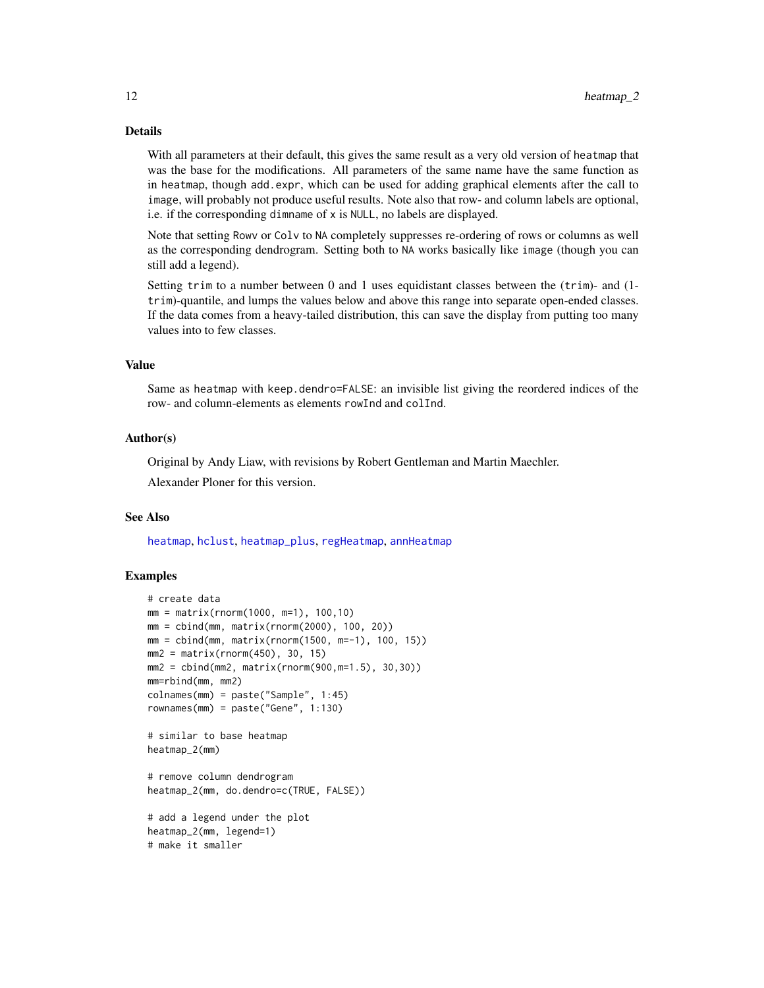# Details

With all parameters at their default, this gives the same result as a very old version of heatmap that was the base for the modifications. All parameters of the same name have the same function as in heatmap, though add.expr, which can be used for adding graphical elements after the call to image, will probably not produce useful results. Note also that row- and column labels are optional, i.e. if the corresponding dimname of x is NULL, no labels are displayed.

Note that setting Rowv or Colv to NA completely suppresses re-ordering of rows or columns as well as the corresponding dendrogram. Setting both to NA works basically like image (though you can still add a legend).

Setting trim to a number between 0 and 1 uses equidistant classes between the (trim)- and (1 trim)-quantile, and lumps the values below and above this range into separate open-ended classes. If the data comes from a heavy-tailed distribution, this can save the display from putting too many values into to few classes.

# Value

Same as heatmap with keep.dendro=FALSE: an invisible list giving the reordered indices of the row- and column-elements as elements rowInd and colInd.

#### Author(s)

Original by Andy Liaw, with revisions by Robert Gentleman and Martin Maechler.

Alexander Ploner for this version.

#### See Also

[heatmap](#page-0-0), [hclust](#page-0-0), [heatmap\\_plus](#page-12-1), [regHeatmap](#page-22-1), [annHeatmap](#page-1-1)

```
# create data
mm = matrix(rnorm(1000, m=1), 100,10)
mm = cbind(mm, matrix(rnorm(2000), 100, 20))
mm = cbind(mm, matrix(rnorm(1500, m=-1), 100, 15))
mm2 = matrix(rnorm(450), 30, 15)
mm2 = cbind(mm2, matrix(rnorm(900,m=1.5), 30,30))
mm=rbind(mm, mm2)
colnames(mm) = paste("Sample", 1:45)
rownames(mm) = paste("Gene", 1:130)
# similar to base heatmap
heatmap_2(mm)
# remove column dendrogram
heatmap_2(mm, do.dendro=c(TRUE, FALSE))
# add a legend under the plot
heatmap_2(mm, legend=1)
# make it smaller
```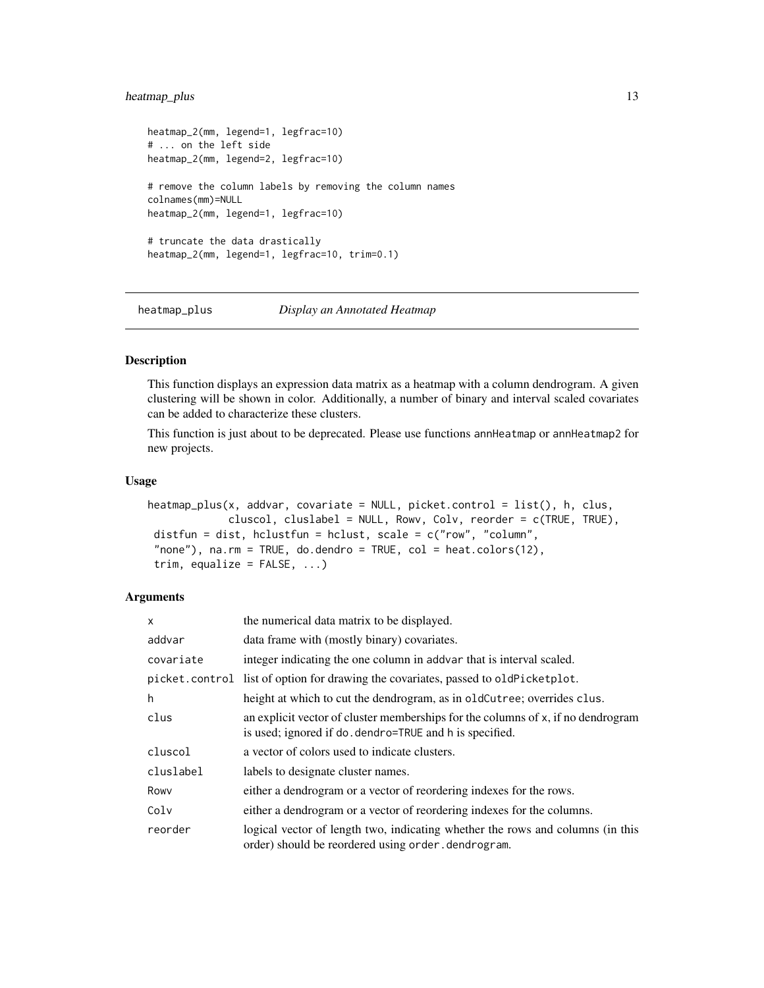# <span id="page-12-0"></span>heatmap\_plus 13

```
heatmap_2(mm, legend=1, legfrac=10)
# ... on the left side
heatmap_2(mm, legend=2, legfrac=10)
# remove the column labels by removing the column names
colnames(mm)=NULL
heatmap_2(mm, legend=1, legfrac=10)
# truncate the data drastically
heatmap_2(mm, legend=1, legfrac=10, trim=0.1)
```
<span id="page-12-1"></span>

heatmap\_plus *Display an Annotated Heatmap*

# Description

This function displays an expression data matrix as a heatmap with a column dendrogram. A given clustering will be shown in color. Additionally, a number of binary and interval scaled covariates can be added to characterize these clusters.

This function is just about to be deprecated. Please use functions annHeatmap or annHeatmap2 for new projects.

#### Usage

```
heatmap_plus(x, addvar, covariate = NULL, picket.control = list(), h, clus,
             cluscol, cluslabel = NULL, Rowv, Colv, reorder = c(TRUE, TRUE),
distfun = dist, hclustfun = hclust, scale = c("row", "column",
 "none"), na.rm = TRUE, do.dendro = TRUE, col = heat.colors(12),
trim, equalize = FALSE, ...)
```
#### Arguments

| X         | the numerical data matrix to be displayed.                                                                                                   |
|-----------|----------------------------------------------------------------------------------------------------------------------------------------------|
| addvar    | data frame with (mostly binary) covariates.                                                                                                  |
| covariate | integer indicating the one column in addvar that is interval scaled.                                                                         |
|           | picket.control list of option for drawing the covariates, passed to oldPicketplot.                                                           |
| h         | height at which to cut the dendrogram, as in oldCutree; overrides clus.                                                                      |
| clus      | an explicit vector of cluster memberships for the columns of x, if no dendrogram<br>is used; ignored if do . dendro=TRUE and h is specified. |
| cluscol   | a vector of colors used to indicate clusters.                                                                                                |
| cluslabel | labels to designate cluster names.                                                                                                           |
| Rowy      | either a dendrogram or a vector of reordering indexes for the rows.                                                                          |
| Colv      | either a dendrogram or a vector of reordering indexes for the columns.                                                                       |
| reorder   | logical vector of length two, indicating whether the rows and columns (in this<br>order) should be reordered using order.dendrogram.         |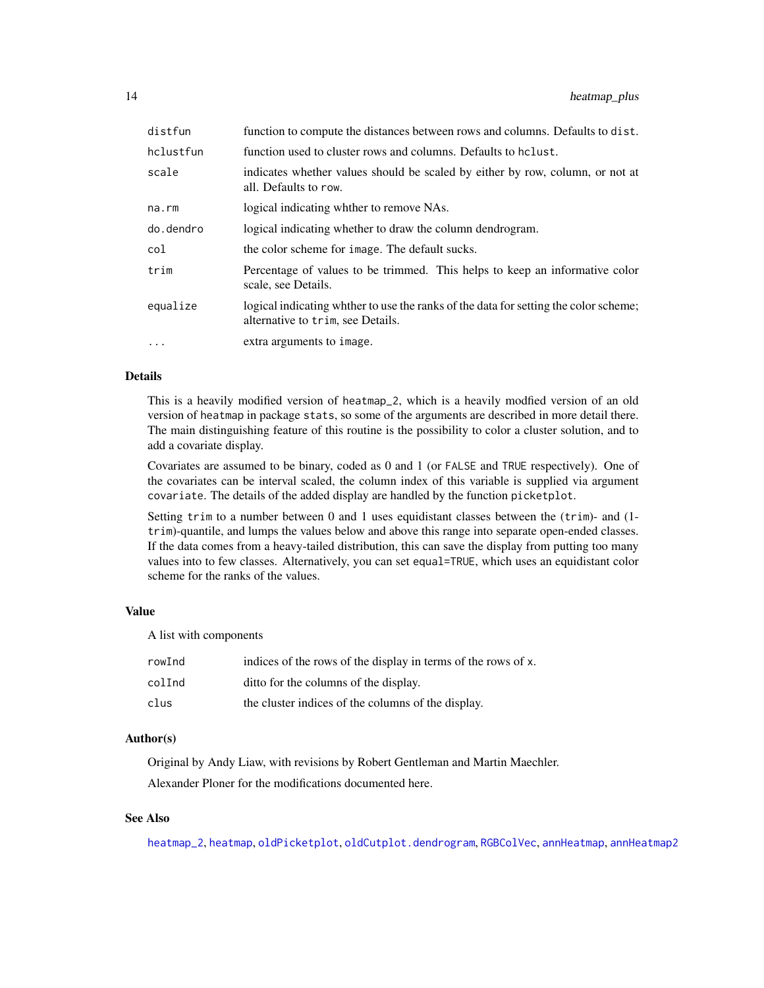| distfun   | function to compute the distances between rows and columns. Defaults to dist.                                              |
|-----------|----------------------------------------------------------------------------------------------------------------------------|
| hclustfun | function used to cluster rows and columns. Defaults to holast.                                                             |
| scale     | indicates whether values should be scaled by either by row, column, or not at<br>all. Defaults to row.                     |
| na.rm     | logical indicating whither to remove NAs.                                                                                  |
| do.dendro | logical indicating whether to draw the column dendrogram.                                                                  |
| col       | the color scheme for image. The default sucks.                                                                             |
| trim      | Percentage of values to be trimmed. This helps to keep an informative color<br>scale, see Details.                         |
| equalize  | logical indicating whither to use the ranks of the data for setting the color scheme;<br>alternative to trim, see Details. |
| $\cdots$  | extra arguments to image.                                                                                                  |

# Details

This is a heavily modified version of heatmap\_2, which is a heavily modfied version of an old version of heatmap in package stats, so some of the arguments are described in more detail there. The main distinguishing feature of this routine is the possibility to color a cluster solution, and to add a covariate display.

Covariates are assumed to be binary, coded as 0 and 1 (or FALSE and TRUE respectively). One of the covariates can be interval scaled, the column index of this variable is supplied via argument covariate. The details of the added display are handled by the function picketplot.

Setting trim to a number between 0 and 1 uses equidistant classes between the (trim)- and (1 trim)-quantile, and lumps the values below and above this range into separate open-ended classes. If the data comes from a heavy-tailed distribution, this can save the display from putting too many values into to few classes. Alternatively, you can set equal=TRUE, which uses an equidistant color scheme for the ranks of the values.

#### Value

A list with components

| rowInd | indices of the rows of the display in terms of the rows of x. |
|--------|---------------------------------------------------------------|
| colInd | ditto for the columns of the display.                         |
| clus   | the cluster indices of the columns of the display.            |

#### Author(s)

Original by Andy Liaw, with revisions by Robert Gentleman and Martin Maechler. Alexander Ploner for the modifications documented here.

# See Also

[heatmap\\_2](#page-10-1), [heatmap](#page-0-0), [oldPicketplot](#page-16-1), [oldCutplot.dendrogram](#page-15-1), [RGBColVec](#page-23-1), [annHeatmap](#page-1-1), [annHeatmap2](#page-2-1)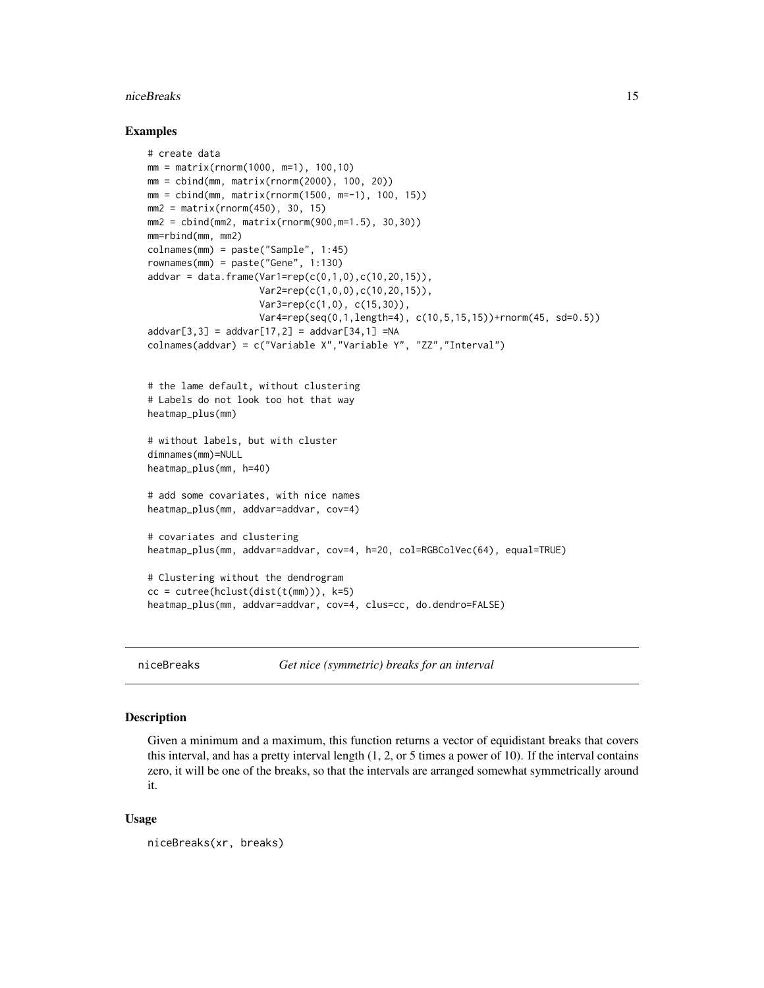#### <span id="page-14-0"></span>niceBreaks 15

#### Examples

```
# create data
mm = matrix(rnorm(1000, m=1), 100, 10)mm = \text{cbind}(mm, matrix(rnorm(2000), 100, 20))mm = \text{cbind}(mm, matrix(rnorm(1500, m=-1), 100, 15))mm2 = matrix(rnorm(450), 30, 15)
mm2 = cbind(mm2, matrix(rnorm(900,m=1.5), 30,30))
mm=rbind(mm, mm2)
colnames(mm) = paste("Sample", 1:45)
rownames(mm) = paste("Gene", 1:130)
addvar = data-frame(Var1=rep(c(0,1,0),c(10,20,15)),Var2=rep(c(1,0,0),c(10,20,15)),
                    Var3=rep(c(1,0), c(15,30)),
                    Var4=rep(seq(0,1,length=4), c(10,5,15,15))+rnorm(45, sd=0.5))
addvar[3,3] = addvar[17,2] = addvar[34,1] = NAcolnames(addvar) = c("Variable X","Variable Y", "ZZ","Interval")
# the lame default, without clustering
# Labels do not look too hot that way
heatmap_plus(mm)
# without labels, but with cluster
dimnames(mm)=NULL
heatmap_plus(mm, h=40)
# add some covariates, with nice names
heatmap_plus(mm, addvar=addvar, cov=4)
# covariates and clustering
heatmap_plus(mm, addvar=addvar, cov=4, h=20, col=RGBColVec(64), equal=TRUE)
# Clustering without the dendrogram
cc = cutree(hclust(dist(t(mm))), k=5)heatmap_plus(mm, addvar=addvar, cov=4, clus=cc, do.dendro=FALSE)
```
<span id="page-14-1"></span>

niceBreaks *Get nice (symmetric) breaks for an interval*

#### Description

Given a minimum and a maximum, this function returns a vector of equidistant breaks that covers this interval, and has a pretty interval length (1, 2, or 5 times a power of 10). If the interval contains zero, it will be one of the breaks, so that the intervals are arranged somewhat symmetrically around it.

#### Usage

```
niceBreaks(xr, breaks)
```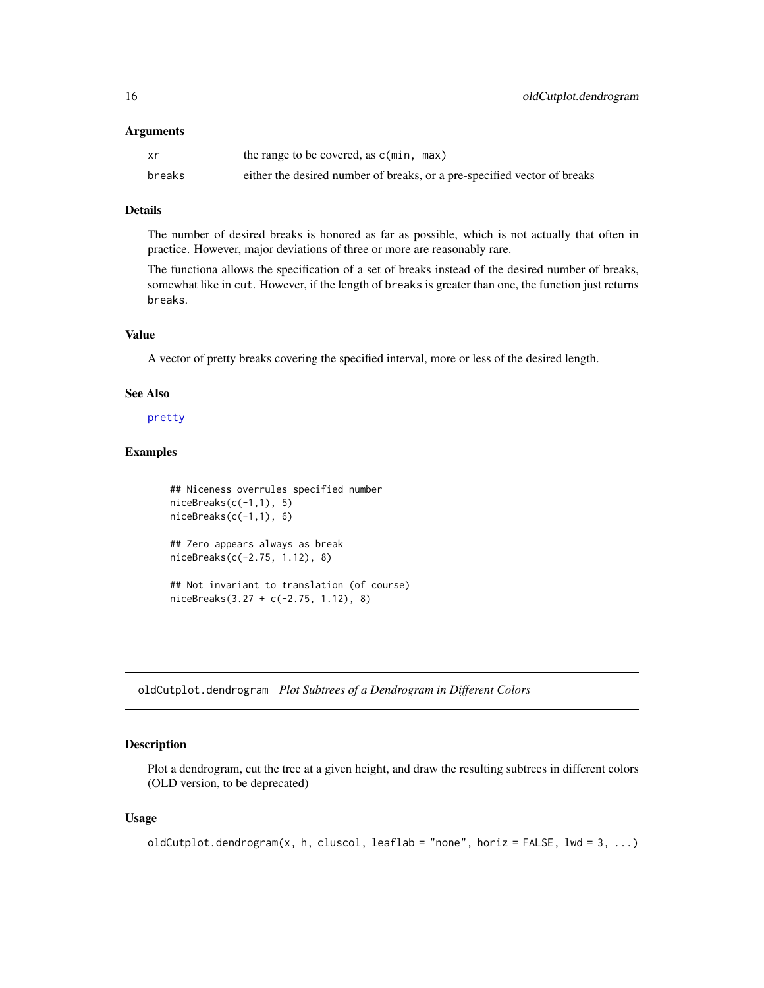#### <span id="page-15-0"></span>**Arguments**

| xr     | the range to be covered, as $c(\min, \max)$                              |
|--------|--------------------------------------------------------------------------|
| breaks | either the desired number of breaks, or a pre-specified vector of breaks |

#### Details

The number of desired breaks is honored as far as possible, which is not actually that often in practice. However, major deviations of three or more are reasonably rare.

The functiona allows the specification of a set of breaks instead of the desired number of breaks, somewhat like in cut. However, if the length of breaks is greater than one, the function just returns breaks.

#### Value

A vector of pretty breaks covering the specified interval, more or less of the desired length.

#### See Also

#### [pretty](#page-0-0)

# Examples

```
## Niceness overrules specified number
niceBreaks(c(-1,1), 5)niceBreaks(c(-1,1), 6)
## Zero appears always as break
niceBreaks(c(-2.75, 1.12), 8)
## Not invariant to translation (of course)
niceBreaks(3.27 + c(-2.75, 1.12), 8)
```
<span id="page-15-1"></span>oldCutplot.dendrogram *Plot Subtrees of a Dendrogram in Different Colors*

#### Description

Plot a dendrogram, cut the tree at a given height, and draw the resulting subtrees in different colors (OLD version, to be deprecated)

#### Usage

```
oldCutplot.dendrogram(x, h, cluscol, leaflab = "none", horiz = FALSE, lwd = 3, ...)
```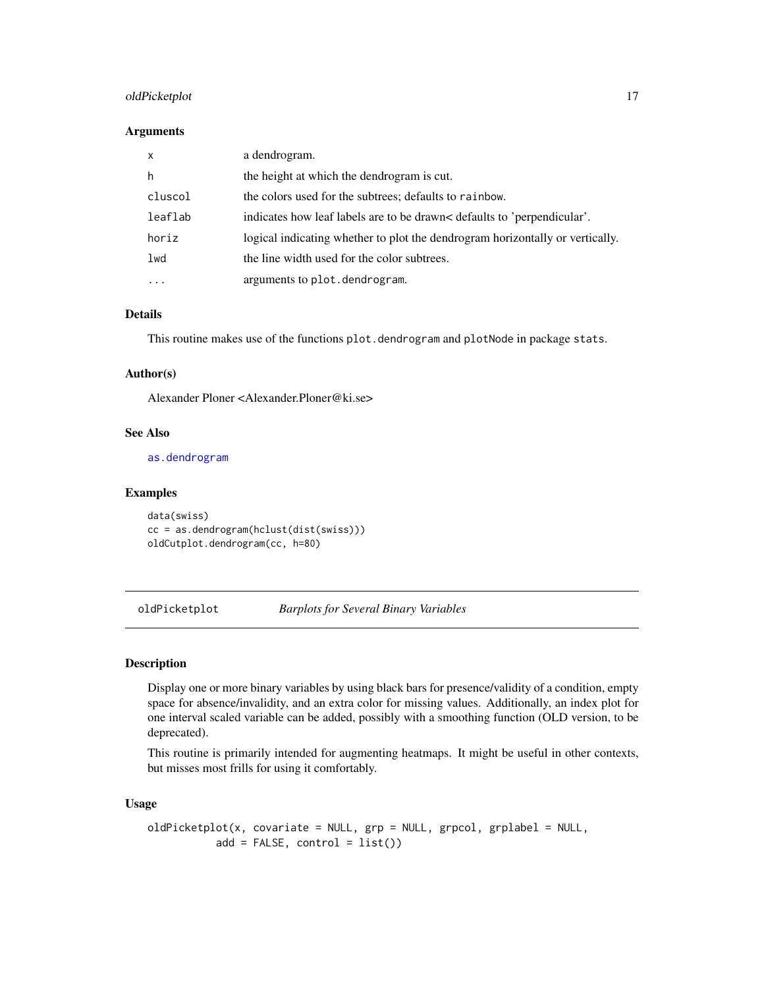# <span id="page-16-0"></span>oldPicketplot 17

#### **Arguments**

| $\mathsf{x}$ | a dendrogram.                                                                 |
|--------------|-------------------------------------------------------------------------------|
| h            | the height at which the dendrogram is cut.                                    |
| cluscol      | the colors used for the subtrees; defaults to rainbow.                        |
| leaflab      | indicates how leaf labels are to be drawn< defaults to 'perpendicular'.       |
| horiz        | logical indicating whether to plot the dendrogram horizontally or vertically. |
| lwd          | the line width used for the color subtrees.                                   |
| .            | arguments to plot.dendrogram.                                                 |

# Details

This routine makes use of the functions plot.dendrogram and plotNode in package stats.

#### Author(s)

Alexander Ploner <Alexander.Ploner@ki.se>

# See Also

[as.dendrogram](#page-0-0)

# Examples

```
data(swiss)
cc = as.dendrogram(hclust(dist(swiss)))
oldCutplot.dendrogram(cc, h=80)
```
<span id="page-16-1"></span>oldPicketplot *Barplots for Several Binary Variables*

#### Description

Display one or more binary variables by using black bars for presence/validity of a condition, empty space for absence/invalidity, and an extra color for missing values. Additionally, an index plot for one interval scaled variable can be added, possibly with a smoothing function (OLD version, to be deprecated).

This routine is primarily intended for augmenting heatmaps. It might be useful in other contexts, but misses most frills for using it comfortably.

#### Usage

```
oldPicketplot(x, covariate = NULL, grp = NULL, grpcol, grplabel = NULL,
          add = FALSE, control = list()
```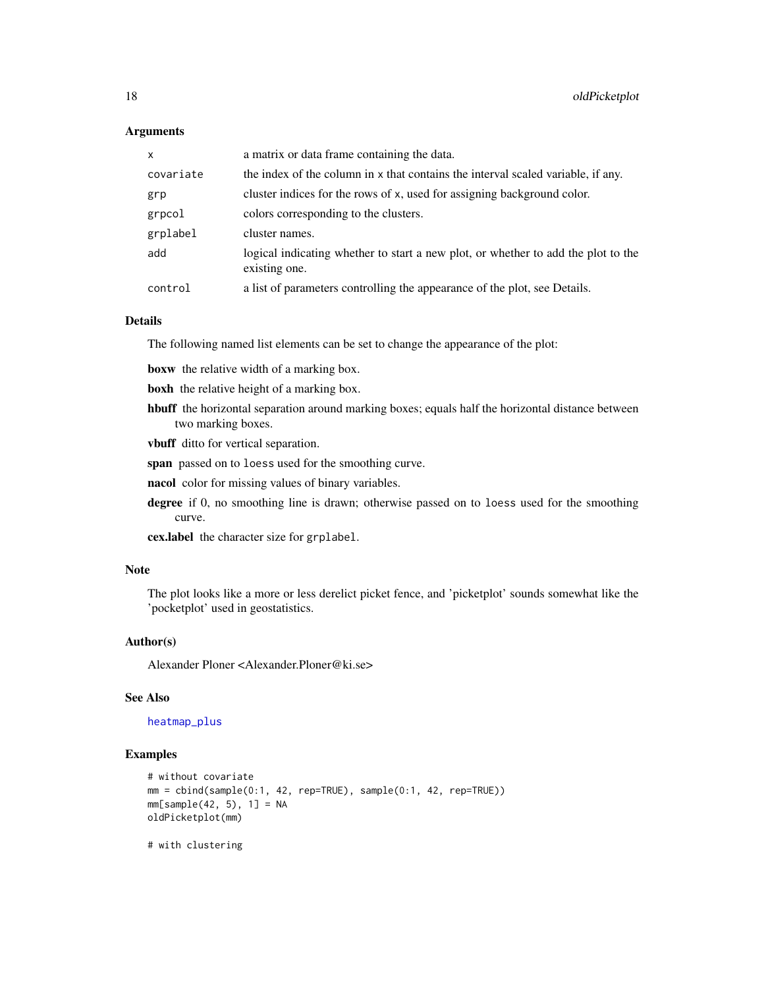#### **Arguments**

| $\mathsf{x}$ | a matrix or data frame containing the data.                                                        |
|--------------|----------------------------------------------------------------------------------------------------|
| covariate    | the index of the column in x that contains the interval scaled variable, if any.                   |
| grp          | cluster indices for the rows of x, used for assigning background color.                            |
| grpcol       | colors corresponding to the clusters.                                                              |
| grplabel     | cluster names.                                                                                     |
| add          | logical indicating whether to start a new plot, or whether to add the plot to the<br>existing one. |
| control      | a list of parameters controlling the appearance of the plot, see Details.                          |

#### Details

The following named list elements can be set to change the appearance of the plot:

boxw the relative width of a marking box.

- boxh the relative height of a marking box.
- hbuff the horizontal separation around marking boxes; equals half the horizontal distance between two marking boxes.

vbuff ditto for vertical separation.

span passed on to loess used for the smoothing curve.

nacol color for missing values of binary variables.

degree if 0, no smoothing line is drawn; otherwise passed on to loess used for the smoothing curve.

cex.label the character size for grplabel.

#### Note

The plot looks like a more or less derelict picket fence, and 'picketplot' sounds somewhat like the 'pocketplot' used in geostatistics.

#### Author(s)

Alexander Ploner <Alexander.Ploner@ki.se>

#### See Also

[heatmap\\_plus](#page-12-1)

```
# without covariate
mm = cbind(sample(0:1, 42, rep=TRUE), sample(0:1, 42, rep=TRUE))
mm[sample(42, 5), 1] = NAoldPicketplot(mm)
# with clustering
```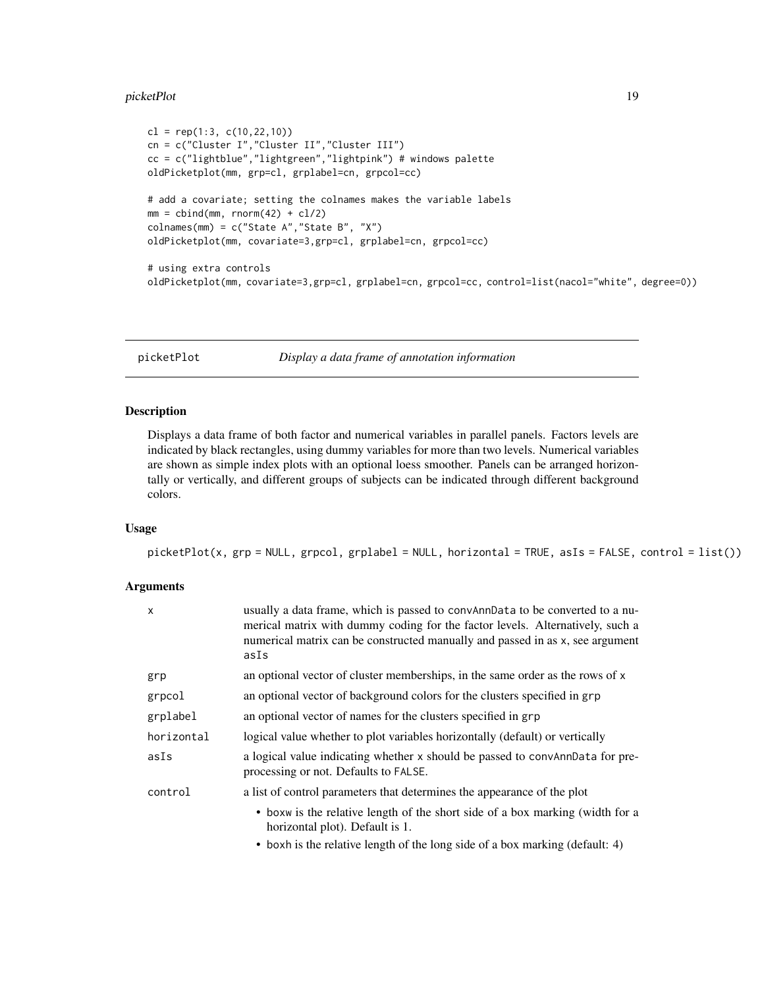#### <span id="page-18-0"></span>picketPlot the contract of the contract of the contract of the contract of the contract of the contract of the contract of the contract of the contract of the contract of the contract of the contract of the contract of the

```
cl = rep(1:3, c(10, 22, 10))cn = c("Cluster I","Cluster II","Cluster III")
cc = c("lightblue","lightgreen","lightpink") # windows palette
oldPicketplot(mm, grp=cl, grplabel=cn, grpcol=cc)
# add a covariate; setting the colnames makes the variable labels
mm = \text{cbind}(mm, rnorm(42) + \text{cl}/2)colnames(mm) = c("State A","State B", "X")
oldPicketplot(mm, covariate=3,grp=cl, grplabel=cn, grpcol=cc)
# using extra controls
oldPicketplot(mm, covariate=3,grp=cl, grplabel=cn, grpcol=cc, control=list(nacol="white", degree=0))
```
<span id="page-18-1"></span>picketPlot *Display a data frame of annotation information*

#### Description

Displays a data frame of both factor and numerical variables in parallel panels. Factors levels are indicated by black rectangles, using dummy variables for more than two levels. Numerical variables are shown as simple index plots with an optional loess smoother. Panels can be arranged horizontally or vertically, and different groups of subjects can be indicated through different background colors.

# Usage

picketPlot(x, grp = NULL, grpcol, grplabel = NULL, horizontal = TRUE, asIs = FALSE, control = list())

#### **Arguments**

| x          | usually a data frame, which is passed to convAnnData to be converted to a nu-<br>merical matrix with dummy coding for the factor levels. Alternatively, such a<br>numerical matrix can be constructed manually and passed in as x, see argument<br>asIs |
|------------|---------------------------------------------------------------------------------------------------------------------------------------------------------------------------------------------------------------------------------------------------------|
| grp        | an optional vector of cluster memberships, in the same order as the rows of x                                                                                                                                                                           |
| grpcol     | an optional vector of background colors for the clusters specified in grp                                                                                                                                                                               |
| grplabel   | an optional vector of names for the clusters specified in grp                                                                                                                                                                                           |
| horizontal | logical value whether to plot variables horizontally (default) or vertically                                                                                                                                                                            |
| asIs       | a logical value indicating whether x should be passed to convanidate for pre-<br>processing or not. Defaults to FALSE.                                                                                                                                  |
| control    | a list of control parameters that determines the appearance of the plot                                                                                                                                                                                 |
|            | • boxw is the relative length of the short side of a box marking (width for a<br>horizontal plot). Default is 1.                                                                                                                                        |
|            | • boxh is the relative length of the long side of a box marking (default: 4)                                                                                                                                                                            |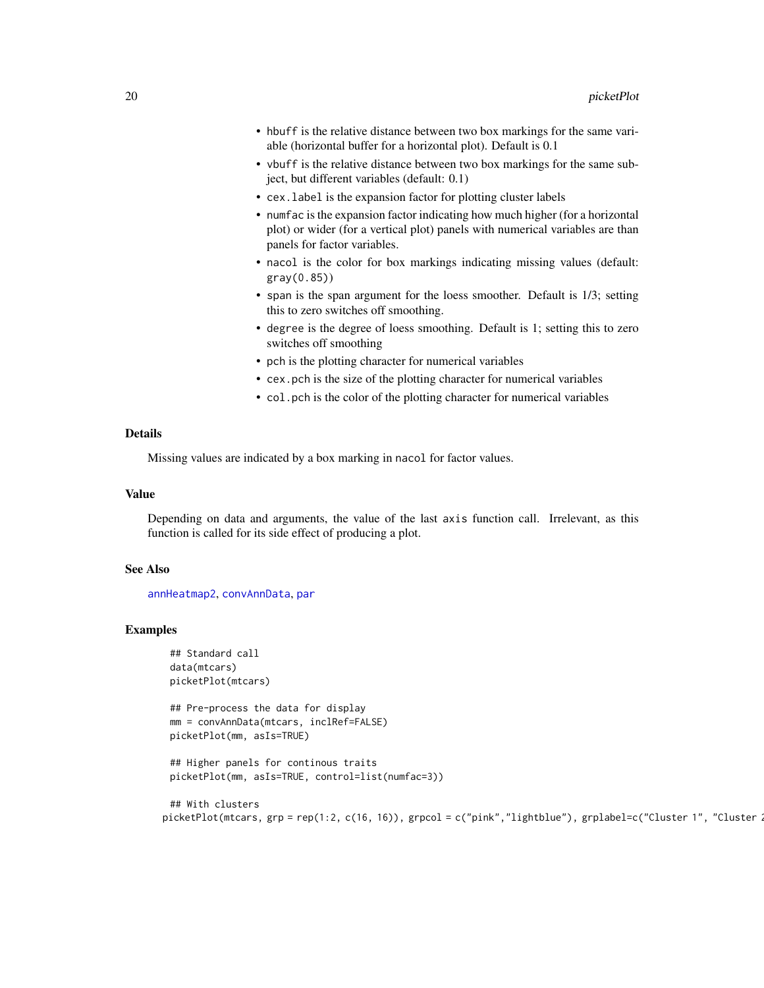- hbuff is the relative distance between two box markings for the same variable (horizontal buffer for a horizontal plot). Default is 0.1
- vbuff is the relative distance between two box markings for the same subject, but different variables (default: 0.1)
- cex.label is the expansion factor for plotting cluster labels
- numfac is the expansion factor indicating how much higher (for a horizontal plot) or wider (for a vertical plot) panels with numerical variables are than panels for factor variables.
- nacol is the color for box markings indicating missing values (default: gray(0.85))
- span is the span argument for the loess smoother. Default is 1/3; setting this to zero switches off smoothing.
- degree is the degree of loess smoothing. Default is 1; setting this to zero switches off smoothing
- pch is the plotting character for numerical variables
- cex.pch is the size of the plotting character for numerical variables
- col.pch is the color of the plotting character for numerical variables

# Details

Missing values are indicated by a box marking in nacol for factor values.

#### Value

Depending on data and arguments, the value of the last axis function call. Irrelevant, as this function is called for its side effect of producing a plot.

#### See Also

[annHeatmap2](#page-2-1), [convAnnData](#page-6-1), [par](#page-0-0)

```
## Standard call
data(mtcars)
picketPlot(mtcars)
```

```
## Pre-process the data for display
mm = convAnnData(mtcars, inclRef=FALSE)
picketPlot(mm, asIs=TRUE)
```

```
## Higher panels for continous traits
picketPlot(mm, asIs=TRUE, control=list(numfac=3))
```

```
## With clusters
picketPlot(mtcars, grp = rep(1:2, c(16, 16)), grpcol = c("pink","lightblue"), grplabel=c("Cluster 1", "Cluster 2
```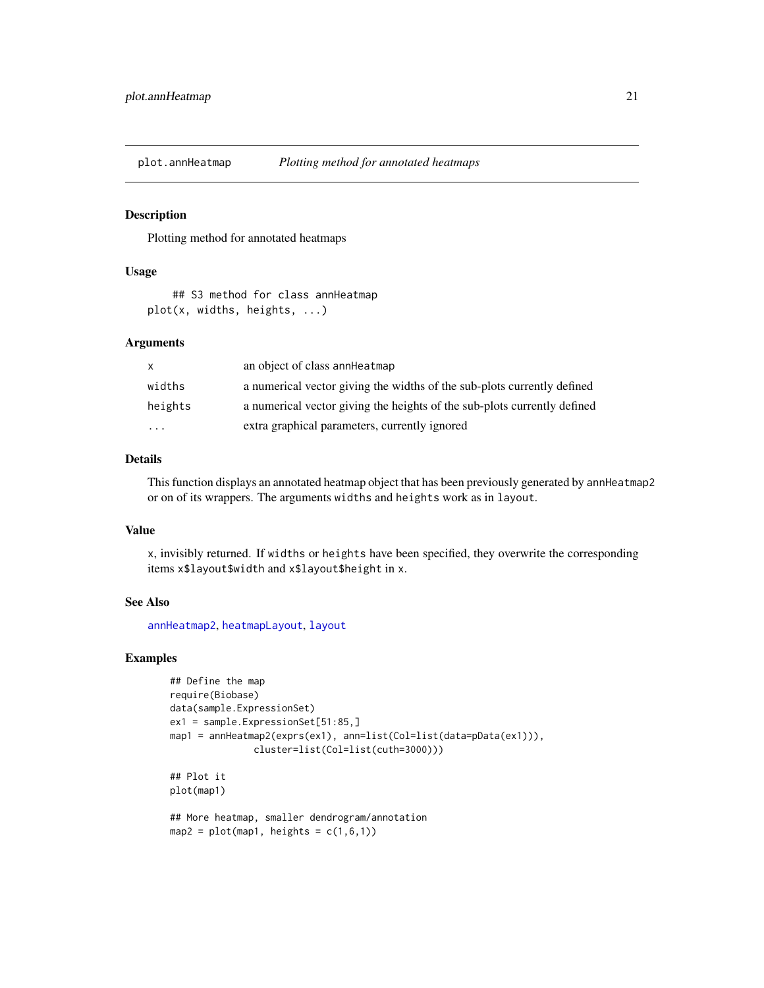<span id="page-20-1"></span><span id="page-20-0"></span>

Plotting method for annotated heatmaps

#### Usage

## S3 method for class annHeatmap plot(x, widths, heights, ...)

# Arguments

| $\mathsf{x}$ | an object of class anner at map                                          |
|--------------|--------------------------------------------------------------------------|
| widths       | a numerical vector giving the widths of the sub-plots currently defined  |
| heights      | a numerical vector giving the heights of the sub-plots currently defined |
| $\ddotsc$    | extra graphical parameters, currently ignored                            |

# Details

This function displays an annotated heatmap object that has been previously generated by annHeatmap2 or on of its wrappers. The arguments widths and heights work as in layout.

#### Value

x, invisibly returned. If widths or heights have been specified, they overwrite the corresponding items x\$layout\$width and x\$layout\$height in x.

#### See Also

[annHeatmap2](#page-2-1), [heatmapLayout](#page-9-1), [layout](#page-0-0)

```
## Define the map
require(Biobase)
data(sample.ExpressionSet)
ex1 = sample.ExpressionSet[51:85,]
map1 = annHeatmap2(exprs(ex1), ann=list(Col=list(data=pData(ex1))),
               cluster=list(Col=list(cuth=3000)))
## Plot it
plot(map1)
## More heatmap, smaller dendrogram/annotation
```

```
map2 = plot(map1, heights = c(1,6,1))
```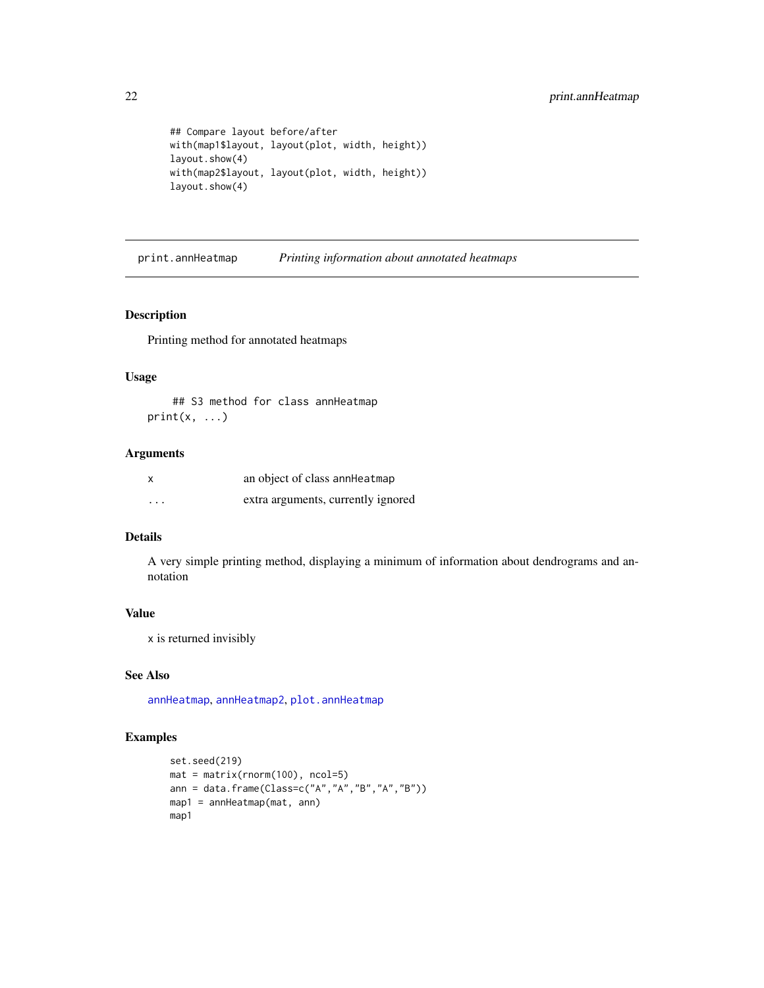```
## Compare layout before/after
with(map1$layout, layout(plot, width, height))
layout.show(4)
with(map2$layout, layout(plot, width, height))
layout.show(4)
```
print.annHeatmap *Printing information about annotated heatmaps*

## Description

Printing method for annotated heatmaps

## Usage

## S3 method for class annHeatmap  $print(x, \ldots)$ 

# Arguments

| x        | an object of class anner at map    |
|----------|------------------------------------|
| $\cdots$ | extra arguments, currently ignored |

# Details

A very simple printing method, displaying a minimum of information about dendrograms and annotation

# Value

x is returned invisibly

#### See Also

[annHeatmap](#page-1-1), [annHeatmap2](#page-2-1), [plot.annHeatmap](#page-20-1)

```
set.seed(219)
mat = matrix(rnorm(100), ncol=5)
ann = data.frame(Class=c("A","A","B","A","B"))
map1 = annHeatmap(mat, ann)
map1
```
<span id="page-21-0"></span>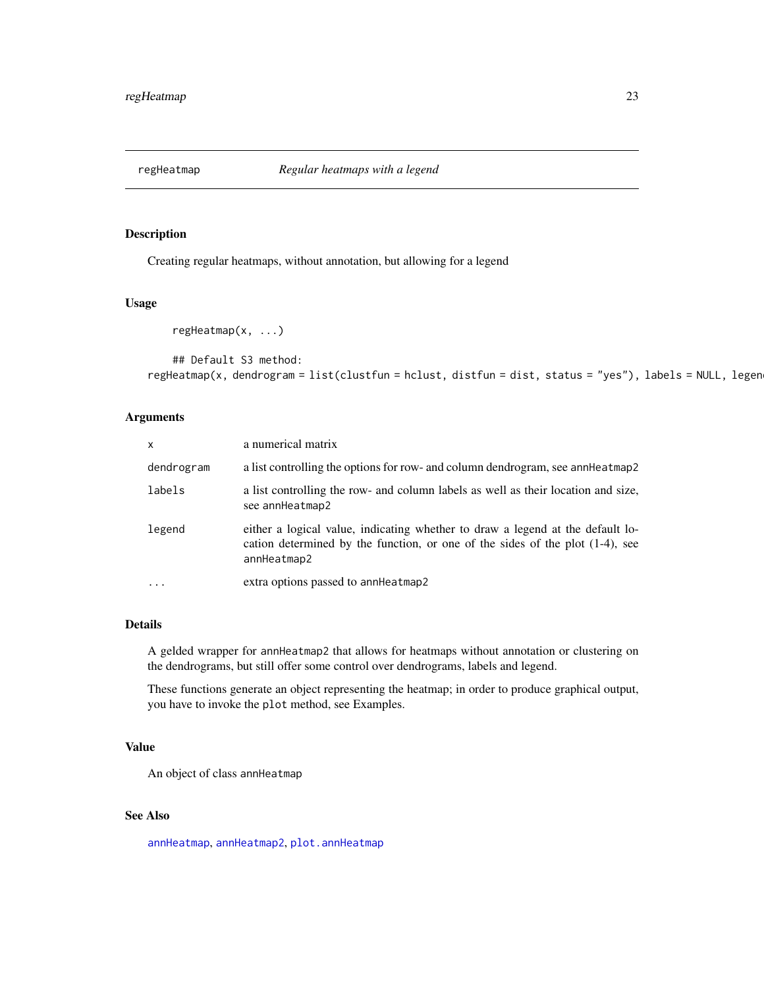<span id="page-22-1"></span><span id="page-22-0"></span>

Creating regular heatmaps, without annotation, but allowing for a legend

# Usage

regHeatmap(x, ...)

```
## Default S3 method:
regHeatmap(x, dendrogram = list(clustfun = hclust, distfun = dist, status = "yes"), labels = NULL, legen
```
#### Arguments

| $\mathsf{x}$ | a numerical matrix                                                                                                                                                                |
|--------------|-----------------------------------------------------------------------------------------------------------------------------------------------------------------------------------|
| dendrogram   | a list controlling the options for row- and column dendrogram, see anneheatmap2                                                                                                   |
| labels       | a list controlling the row- and column labels as well as their location and size,<br>see annHeatmap2                                                                              |
| legend       | either a logical value, indicating whether to draw a legend at the default lo-<br>cation determined by the function, or one of the sides of the plot $(1-4)$ , see<br>annHeatmap2 |
| $\ddotsc$    | extra options passed to annHeatmap2                                                                                                                                               |

# Details

A gelded wrapper for annHeatmap2 that allows for heatmaps without annotation or clustering on the dendrograms, but still offer some control over dendrograms, labels and legend.

These functions generate an object representing the heatmap; in order to produce graphical output, you have to invoke the plot method, see Examples.

## Value

An object of class annHeatmap

# See Also

[annHeatmap](#page-1-1), [annHeatmap2](#page-2-1), [plot.annHeatmap](#page-20-1)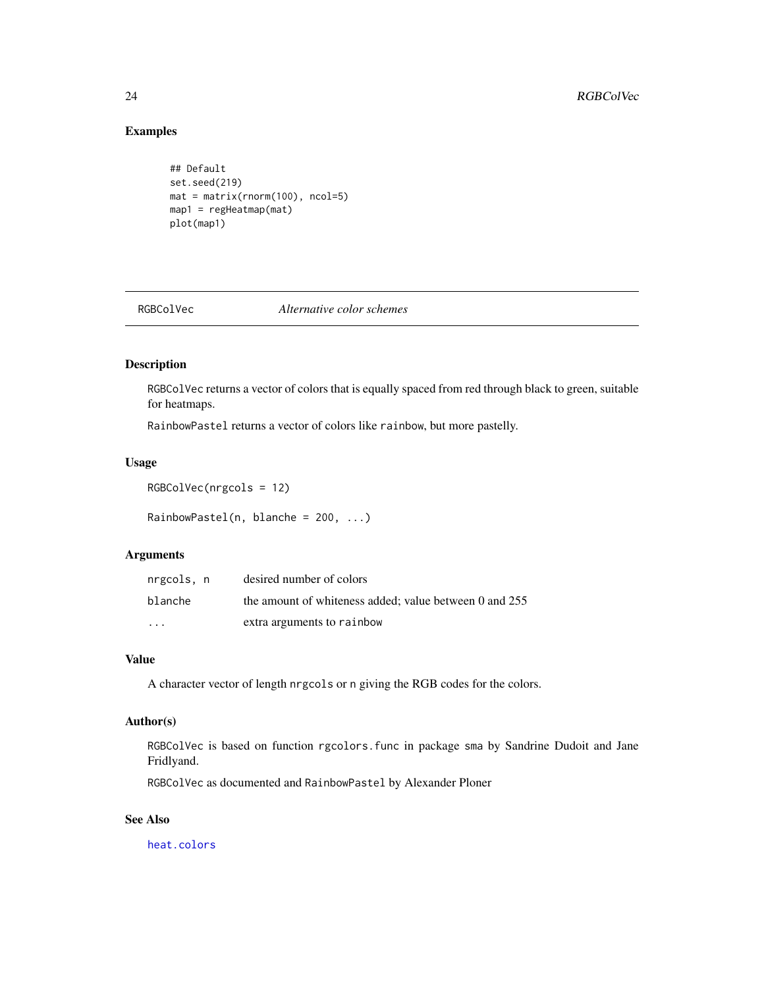# Examples

```
## Default
set.seed(219)
mat = matrix(rnorm(100), ncol=5)
map1 = regHeatmap(mat)
plot(map1)
```
<span id="page-23-1"></span>RGBColVec *Alternative color schemes*

# Description

RGBColVec returns a vector of colors that is equally spaced from red through black to green, suitable for heatmaps.

RainbowPastel returns a vector of colors like rainbow, but more pastelly.

# Usage

```
RGBColVec(nrgcols = 12)
```
 $RainbowPasted(n, blanche = 200, ...)$ 

# Arguments

| nrgcols, n | desired number of colors                               |
|------------|--------------------------------------------------------|
| blanche    | the amount of whiteness added: value between 0 and 255 |
| $\cdots$   | extra arguments to rainbow                             |

# Value

A character vector of length nrgcols or n giving the RGB codes for the colors.

# Author(s)

RGBColVec is based on function rgcolors.func in package sma by Sandrine Dudoit and Jane Fridlyand.

RGBColVec as documented and RainbowPastel by Alexander Ploner

# See Also

[heat.colors](#page-0-0)

<span id="page-23-0"></span>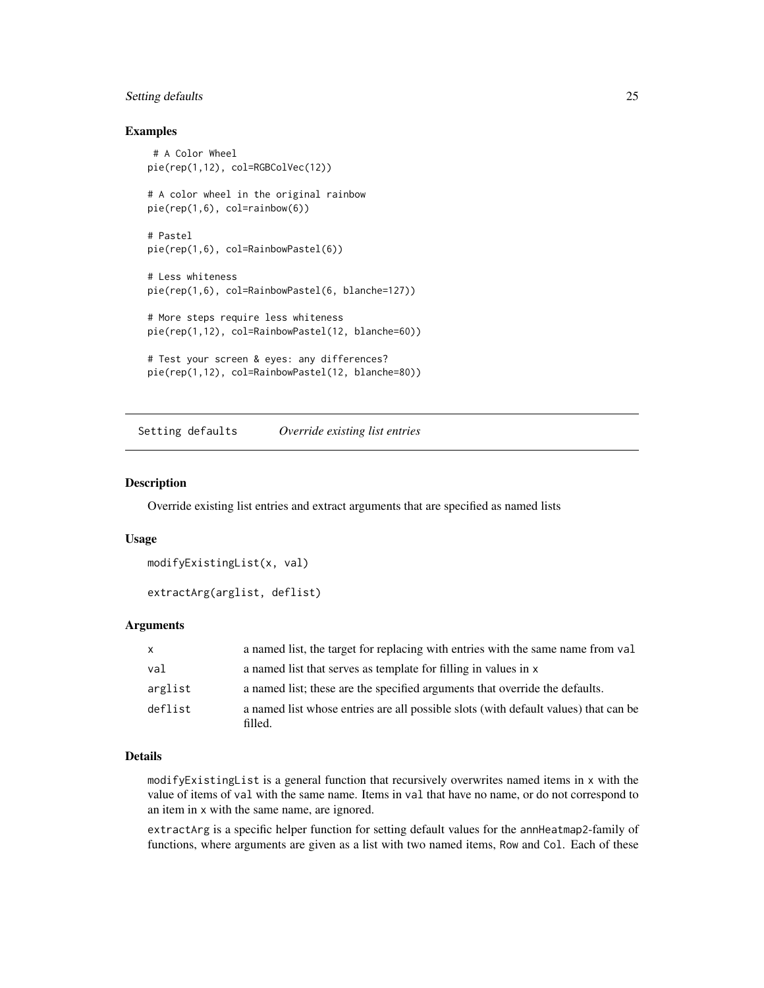# <span id="page-24-0"></span>Setting defaults 25

#### Examples

```
# A Color Wheel
pie(rep(1,12), col=RGBColVec(12))
# A color wheel in the original rainbow
pie(rep(1,6), col=rainbow(6))
# Pastel
pie(rep(1,6), col=RainbowPastel(6))
# Less whiteness
pie(rep(1,6), col=RainbowPastel(6, blanche=127))
# More steps require less whiteness
pie(rep(1,12), col=RainbowPastel(12, blanche=60))
# Test your screen & eyes: any differences?
pie(rep(1,12), col=RainbowPastel(12, blanche=80))
```
Setting defaults *Override existing list entries*

# Description

Override existing list entries and extract arguments that are specified as named lists

#### Usage

```
modifyExistingList(x, val)
```

```
extractArg(arglist, deflist)
```
#### Arguments

| X       | a named list, the target for replacing with entries with the same name from val                |
|---------|------------------------------------------------------------------------------------------------|
| val     | a named list that serves as template for filling in values in x                                |
| arglist | a named list; these are the specified arguments that override the defaults.                    |
| deflist | a named list whose entries are all possible slots (with default values) that can be<br>filled. |

#### Details

modifyExistingList is a general function that recursively overwrites named items in x with the value of items of val with the same name. Items in val that have no name, or do not correspond to an item in x with the same name, are ignored.

extractArg is a specific helper function for setting default values for the annHeatmap2-family of functions, where arguments are given as a list with two named items, Row and Col. Each of these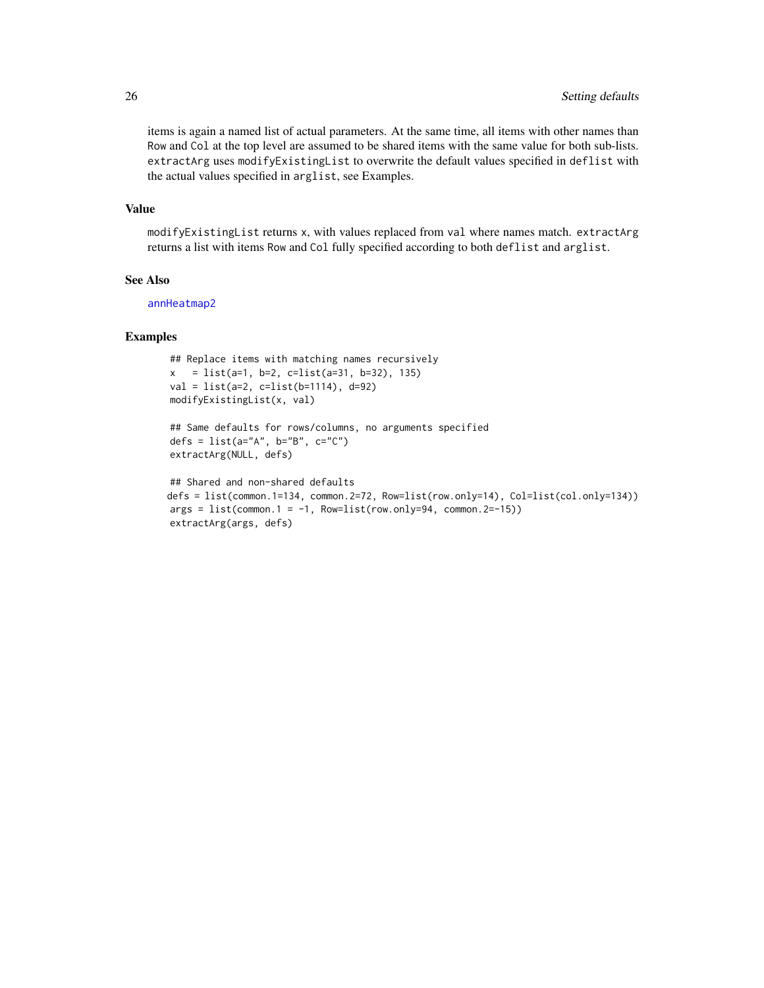items is again a named list of actual parameters. At the same time, all items with other names than Row and Col at the top level are assumed to be shared items with the same value for both sub-lists. extractArg uses modifyExistingList to overwrite the default values specified in deflist with the actual values specified in arglist, see Examples.

#### Value

modifyExistingList returns x, with values replaced from val where names match. extractArg returns a list with items Row and Col fully specified according to both deflist and arglist.

#### See Also

[annHeatmap2](#page-2-1)

```
## Replace items with matching names recursively
x = list(a=1, b=2, c=list(a=31, b=32), 135)val = list(a=2, c=list(b=1114), d=92)
modifyExistingList(x, val)
```

```
## Same defaults for rows/columns, no arguments specified
defs = list(a="A", b="B", c="C")
extractArg(NULL, defs)
```

```
## Shared and non-shared defaults
defs = list(common.1=134, common.2=72, Row=list(row.only=14), Col=list(col.only=134))
args = list(common.1 = -1, Row=list(row-only=94, common.2=-15))extractArg(args, defs)
```